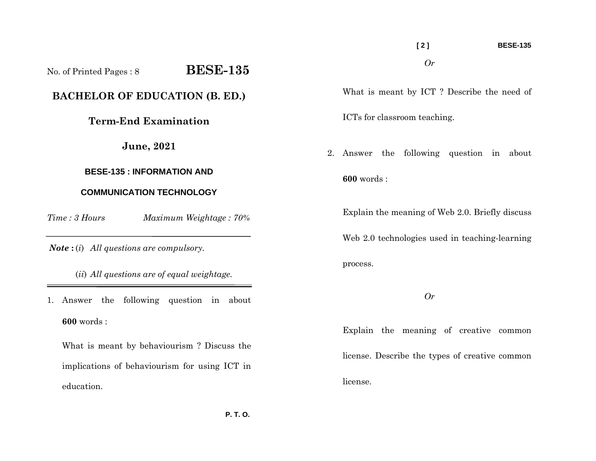**[ 2 ] BESE-135**  *Or* 

What is meant by ICT ? Describe the need of

ICTs for classroom teaching.

2. Answer the following question in about **600** words :

Explain the meaning of Web 2.0. Briefly discuss

Web 2.0 technologies used in teaching-learning process.

*Or* 

Explain the meaning of creative common license. Describe the types of creative common license.

No. of Printed Pages : 8 **BESE-135 BACHELOR OF EDUCATION (B. ED.) Term-End Examination June, 2021** 

## **BESE-135 : INFORMATION AND**

## **COMMUNICATION TECHNOLOGY**

*Time : 3 HoursMaximum Weightage : 70%* 

*Note* **:** (*i*) *All questions are compulsory.* 

(*ii*) *All questions are of equal weightage.*

1. Answer the following question in about **600** words :

What is meant by behaviourism ? Discuss the implications of behaviourism for using ICT in education.

 **P. T. O.**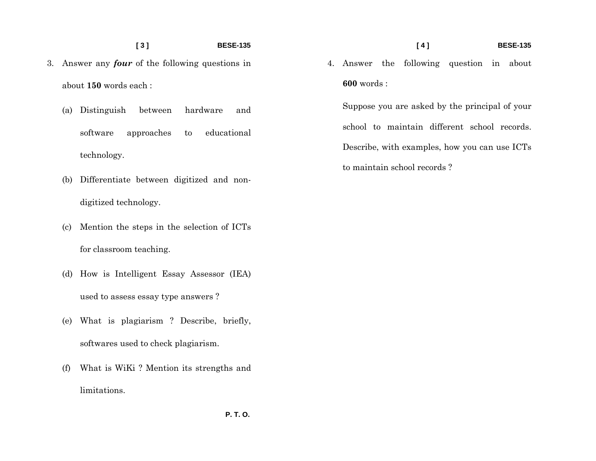## **[ 3 ] BESE-135**

- 3. Answer any *four* of the following questions in about **150** words each :
	- (a) Distinguish between hardware and software approaches to educational technology.
	- (b) Differentiate between digitized and nondigitized technology.
	- (c) Mention the steps in the selection of ICTs for classroom teaching.
	- (d) How is Intelligent Essay Assessor (IEA) used to assess essay type answers ?
	- (e) What is plagiarism ? Describe, briefly, softwares used to check plagiarism.
	- (f) What is WiKi ? Mention its strengths and limitations.
- **[ 4 ] BESE-135**
- 4. Answer the following question in about **600** words :

Suppose you are asked by the principal of your school to maintain different school records. Describe, with examples, how you can use ICTs to maintain school records ?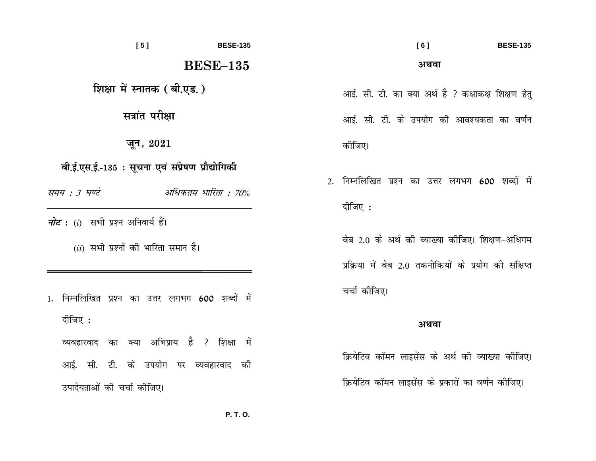| [5]                                                                                                                                                                             | <b>BESE-135</b> | [6]<br><b>BESE-135</b>                                                                                                                                                    |
|---------------------------------------------------------------------------------------------------------------------------------------------------------------------------------|-----------------|---------------------------------------------------------------------------------------------------------------------------------------------------------------------------|
| <b>BESE-135</b>                                                                                                                                                                 |                 | अथवा                                                                                                                                                                      |
| शिक्षा में स्नातक (बी.एड.)                                                                                                                                                      |                 | आई. सी. टी. का क्या अर्थ है ? कक्षाकक्ष शिक्षण हेतु                                                                                                                       |
| सत्रांत परीक्षा                                                                                                                                                                 |                 | आई. सी. टी. के उपयोग की आवश्यकता का वर्णन                                                                                                                                 |
| जून, $2021$                                                                                                                                                                     |                 | कोजिए।                                                                                                                                                                    |
| बी.ई.एस.ई.-135 : सूचना एवं संप्रेषण प्रौद्योगिकी<br>अधिकतम भारिता : 70%<br>समय : 3 घण्टे<br><i>नोट</i> : (i) सभी प्रश्न अनिवार्य हैं।<br>$(ii)$ सभी प्रश्नों की भारिता समान है। |                 | 2. निम्नलिखित प्रश्न का उत्तर लगभग 600 शब्दों में<br>दीजिए :<br>वेब 2.0 के अर्थ की व्याख्या कीजिए। शिक्षण-अधिगम<br>प्रक्रिया में वेब 2.0 तकनीकियों के प्रयोग की संक्षिप्त |
| निम्नलिखित प्रश्न का उत्तर लगभग 600 शब्दों में<br>दीजिए :<br>व्यवहारवाद का क्या अभिप्राय है ? शिक्षा में                                                                        |                 | चर्चा कीजिए।<br>अथवा                                                                                                                                                      |
| आई. सी. टी. के उपयोग पर व्यवहारवाद की                                                                                                                                           |                 | क्रियेटिव कॉमन लाइसेंस के अर्थ की व्याख्या कीजिए।<br>क्रियेटिव कॉमन लाइसेंस के प्रकारों का वर्णन कीजिए।                                                                   |
| उपादेयताओं की चर्चा कीजिए।                                                                                                                                                      |                 |                                                                                                                                                                           |